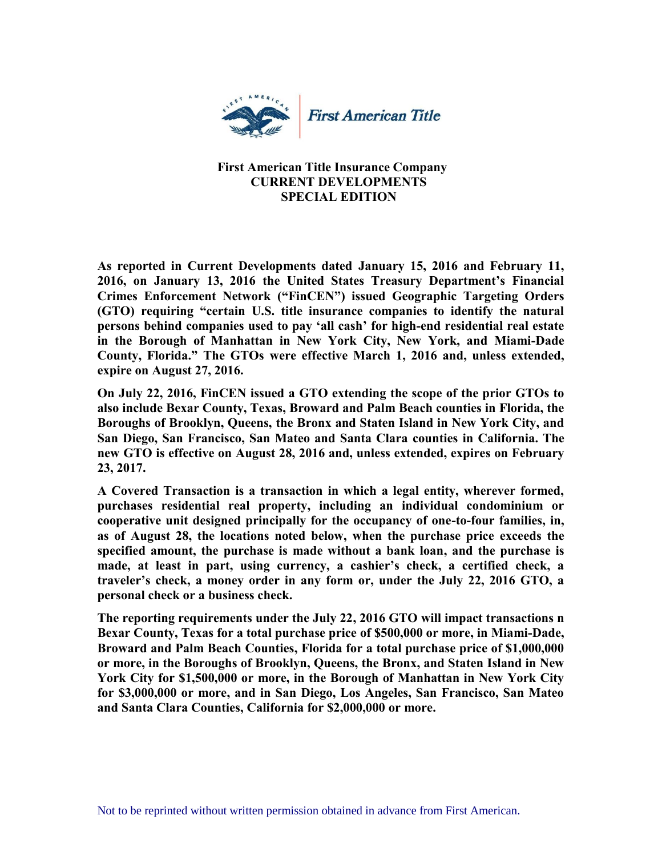

## **First American Title Insurance Company CURRENT DEVELOPMENTS SPECIAL EDITION**

**As reported in Current Developments dated January 15, 2016 and February 11, 2016, on January 13, 2016 the United States Treasury Department's Financial Crimes Enforcement Network ("FinCEN") issued Geographic Targeting Orders (GTO) requiring "certain U.S. title insurance companies to identify the natural persons behind companies used to pay 'all cash' for high-end residential real estate in the Borough of Manhattan in New York City, New York, and Miami-Dade County, Florida." The GTOs were effective March 1, 2016 and, unless extended, expire on August 27, 2016.** 

**On July 22, 2016, FinCEN issued a GTO extending the scope of the prior GTOs to also include Bexar County, Texas, Broward and Palm Beach counties in Florida, the Boroughs of Brooklyn, Queens, the Bronx and Staten Island in New York City, and San Diego, San Francisco, San Mateo and Santa Clara counties in California. The new GTO is effective on August 28, 2016 and, unless extended, expires on February 23, 2017.** 

**A Covered Transaction is a transaction in which a legal entity, wherever formed, purchases residential real property, including an individual condominium or cooperative unit designed principally for the occupancy of one-to-four families, in, as of August 28, the locations noted below, when the purchase price exceeds the specified amount, the purchase is made without a bank loan, and the purchase is made, at least in part, using currency, a cashier's check, a certified check, a traveler's check, a money order in any form or, under the July 22, 2016 GTO, a personal check or a business check.**

**The reporting requirements under the July 22, 2016 GTO will impact transactions n Bexar County, Texas for a total purchase price of \$500,000 or more, in Miami-Dade, Broward and Palm Beach Counties, Florida for a total purchase price of \$1,000,000 or more, in the Boroughs of Brooklyn, Queens, the Bronx, and Staten Island in New York City for \$1,500,000 or more, in the Borough of Manhattan in New York City for \$3,000,000 or more, and in San Diego, Los Angeles, San Francisco, San Mateo and Santa Clara Counties, California for \$2,000,000 or more.**